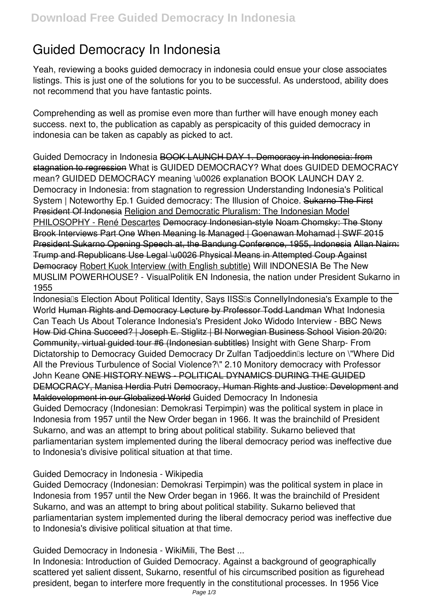# **Guided Democracy In Indonesia**

Yeah, reviewing a books **guided democracy in indonesia** could ensue your close associates listings. This is just one of the solutions for you to be successful. As understood, ability does not recommend that you have fantastic points.

Comprehending as well as promise even more than further will have enough money each success. next to, the publication as capably as perspicacity of this guided democracy in indonesia can be taken as capably as picked to act.

*Guided Democracy in Indonesia* BOOK LAUNCH DAY 1. Democracy in Indonesia: from stagnation to regression *What is GUIDED DEMOCRACY? What does GUIDED DEMOCRACY mean? GUIDED DEMOCRACY meaning \u0026 explanation BOOK LAUNCH DAY 2. Democracy in Indonesia: from stagnation to regression Understanding Indonesia's Political System | Noteworthy Ep.1 Guided democracy: The Illusion of Choice.* Sukarno The First President Of Indonesia Religion and Democratic Pluralism: The Indonesian Model PHILOSOPHY - René Descartes Democracy Indonesian-style Noam Chomsky: The Stony Brook Interviews Part One When Meaning Is Managed | Goenawan Mohamad | SWF 2015 President Sukarno Opening Speech at, the Bandung Conference, 1955, Indonesia Allan Nairn: Trump and Republicans Use Legal \u0026 Physical Means in Attempted Coup Against Democracy Robert Kuok Interview (with English subtitle) **Will INDONESIA Be The New MUSLIM POWERHOUSE? - VisualPolitik EN** Indonesia, the nation under President Sukarno in 1955

Indonesia<sup>ll</sup>s Election About Political Identity, Says IISS<sup>I</sup>s ConnellyIndonesia's Example to the **World** Human Rights and Democracy Lecture by Professor Todd Landman **What Indonesia Can Teach Us About Tolerance** *Indonesia's President Joko Widodo Interview - BBC News* How Did China Succeed? | Joseph E. Stiglitz | BI Norwegian Business School Vision 20/20: Community, virtual guided tour #6 (Indonesian subtitles) Insight with Gene Sharp- From Dictatorship to Democracy **Guided Democracy Dr Zulfan Tadjoeddin's lecture on \"Where Did All the Previous Turbulence of Social Violence?\" 2.10 Monitory democracy with Professor John Keane** ONE HISTORY NEWS - POLITICAL DYNAMICS DURING THE GUIDED DEMOCRACY, Manisa Herdia Putri Democracy, Human Rights and Justice: Development and Maldevelopment in our Globalized World **Guided Democracy In Indonesia** Guided Democracy (Indonesian: Demokrasi Terpimpin) was the political system in place in Indonesia from 1957 until the New Order began in 1966. It was the brainchild of President Sukarno, and was an attempt to bring about political stability. Sukarno believed that parliamentarian system implemented during the liberal democracy period was ineffective due to Indonesia's divisive political situation at that time.

#### **Guided Democracy in Indonesia - Wikipedia**

Guided Democracy (Indonesian: Demokrasi Terpimpin) was the political system in place in Indonesia from 1957 until the New Order began in 1966. It was the brainchild of President Sukarno, and was an attempt to bring about political stability. Sukarno believed that parliamentarian system implemented during the liberal democracy period was ineffective due to Indonesia's divisive political situation at that time.

**Guided Democracy in Indonesia - WikiMili, The Best ...**

In Indonesia: Introduction of Guided Democracy. Against a background of geographically scattered yet salient dissent, Sukarno, resentful of his circumscribed position as figurehead president, began to interfere more frequently in the constitutional processes. In 1956 Vice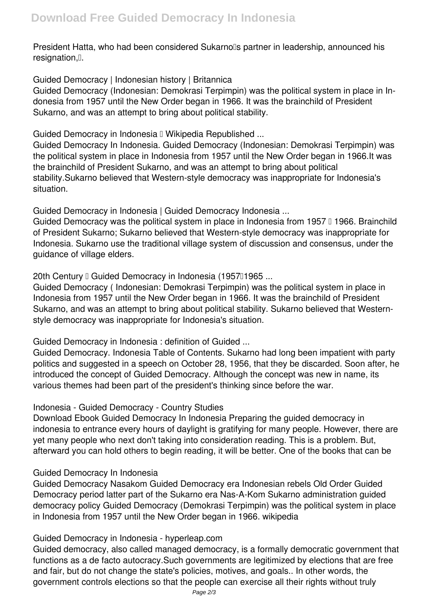President Hatta, who had been considered Sukarno<sup>''</sup>s partner in leadership, announced his resignation.<sup>[]</sup>.

**Guided Democracy | Indonesian history | Britannica**

Guided Democracy (Indonesian: Demokrasi Terpimpin) was the political system in place in Indonesia from 1957 until the New Order began in 1966. It was the brainchild of President Sukarno, and was an attempt to bring about political stability.

Guided Democracy in Indonesia II Wikipedia Republished ...

Guided Democracy In Indonesia. Guided Democracy (Indonesian: Demokrasi Terpimpin) was the political system in place in Indonesia from 1957 until the New Order began in 1966.It was the brainchild of President Sukarno, and was an attempt to bring about political stability.Sukarno believed that Western-style democracy was inappropriate for Indonesia's situation.

**Guided Democracy in Indonesia | Guided Democracy Indonesia ...**

Guided Democracy was the political system in place in Indonesia from 1957  $\text{I}$  1966. Brainchild of President Sukarno; Sukarno believed that Western-style democracy was inappropriate for Indonesia. Sukarno use the traditional village system of discussion and consensus, under the guidance of village elders.

20th Century <sup>[]</sup> Guided Democracy in Indonesia (1957<sup>[1965</sup> ...

Guided Democracy ( Indonesian: Demokrasi Terpimpin) was the political system in place in Indonesia from 1957 until the New Order began in 1966. It was the brainchild of President Sukarno, and was an attempt to bring about political stability. Sukarno believed that Westernstyle democracy was inappropriate for Indonesia's situation.

**Guided Democracy in Indonesia : definition of Guided ...**

Guided Democracy. Indonesia Table of Contents. Sukarno had long been impatient with party politics and suggested in a speech on October 28, 1956, that they be discarded. Soon after, he introduced the concept of Guided Democracy. Although the concept was new in name, its various themes had been part of the president's thinking since before the war.

## **Indonesia - Guided Democracy - Country Studies**

Download Ebook Guided Democracy In Indonesia Preparing the guided democracy in indonesia to entrance every hours of daylight is gratifying for many people. However, there are yet many people who next don't taking into consideration reading. This is a problem. But, afterward you can hold others to begin reading, it will be better. One of the books that can be

## **Guided Democracy In Indonesia**

Guided Democracy Nasakom Guided Democracy era Indonesian rebels Old Order Guided Democracy period latter part of the Sukarno era Nas-A-Kom Sukarno administration guided democracy policy Guided Democracy (Demokrasi Terpimpin) was the political system in place in Indonesia from 1957 until the New Order began in 1966. wikipedia

## **Guided Democracy in Indonesia - hyperleap.com**

Guided democracy, also called managed democracy, is a formally democratic government that functions as a de facto autocracy.Such governments are legitimized by elections that are free and fair, but do not change the state's policies, motives, and goals.. In other words, the government controls elections so that the people can exercise all their rights without truly